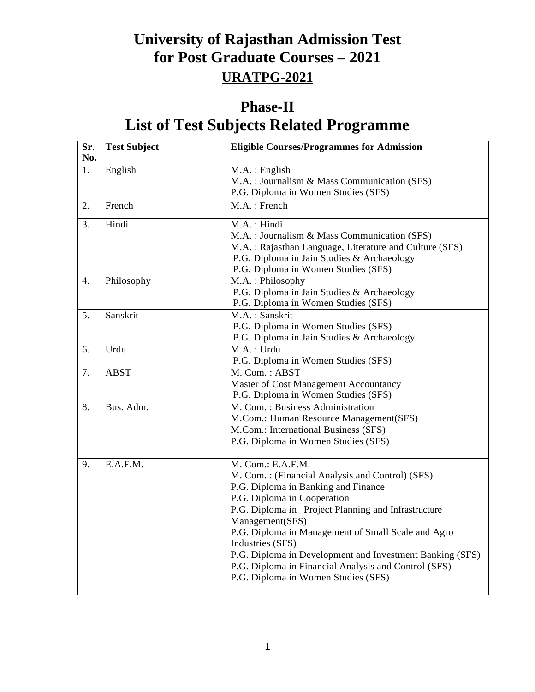## **University of Rajasthan Admission Test for Post Graduate Courses – 2021 URATPG-2021**

## **Phase-II List of Test Subjects Related Programme**

| Sr.<br>No.       | <b>Test Subject</b> | <b>Eligible Courses/Programmes for Admission</b>                                                                                                                                                                                                                                                                                                                                                                                                          |
|------------------|---------------------|-----------------------------------------------------------------------------------------------------------------------------------------------------------------------------------------------------------------------------------------------------------------------------------------------------------------------------------------------------------------------------------------------------------------------------------------------------------|
| 1.               | English             | $M.A.:$ English<br>M.A.: Journalism & Mass Communication (SFS)<br>P.G. Diploma in Women Studies (SFS)                                                                                                                                                                                                                                                                                                                                                     |
| 2.               | French              | $M.A.$ : French                                                                                                                                                                                                                                                                                                                                                                                                                                           |
| 3.               | Hindi               | M.A.: Hindi<br>M.A. : Journalism & Mass Communication (SFS)<br>M.A.: Rajasthan Language, Literature and Culture (SFS)<br>P.G. Diploma in Jain Studies & Archaeology<br>P.G. Diploma in Women Studies (SFS)                                                                                                                                                                                                                                                |
| $\overline{4}$ . | Philosophy          | M.A.: Philosophy<br>P.G. Diploma in Jain Studies & Archaeology<br>P.G. Diploma in Women Studies (SFS)                                                                                                                                                                                                                                                                                                                                                     |
| 5.               | Sanskrit            | M.A.: Sanskrit<br>P.G. Diploma in Women Studies (SFS)<br>P.G. Diploma in Jain Studies & Archaeology                                                                                                                                                                                                                                                                                                                                                       |
| 6.               | Urdu                | M.A.: Urdu<br>P.G. Diploma in Women Studies (SFS)                                                                                                                                                                                                                                                                                                                                                                                                         |
| 7.               | <b>ABST</b>         | M. Com.: ABST<br>Master of Cost Management Accountancy<br>P.G. Diploma in Women Studies (SFS)                                                                                                                                                                                                                                                                                                                                                             |
| 8.               | Bus. Adm.           | M. Com.: Business Administration<br>M.Com.: Human Resource Management(SFS)<br>M.Com.: International Business (SFS)<br>P.G. Diploma in Women Studies (SFS)                                                                                                                                                                                                                                                                                                 |
| 9.               | E.A.F.M.            | M. Com.: E.A.F.M.<br>M. Com.: (Financial Analysis and Control) (SFS)<br>P.G. Diploma in Banking and Finance<br>P.G. Diploma in Cooperation<br>P.G. Diploma in Project Planning and Infrastructure<br>Management(SFS)<br>P.G. Diploma in Management of Small Scale and Agro<br>Industries (SFS)<br>P.G. Diploma in Development and Investment Banking (SFS)<br>P.G. Diploma in Financial Analysis and Control (SFS)<br>P.G. Diploma in Women Studies (SFS) |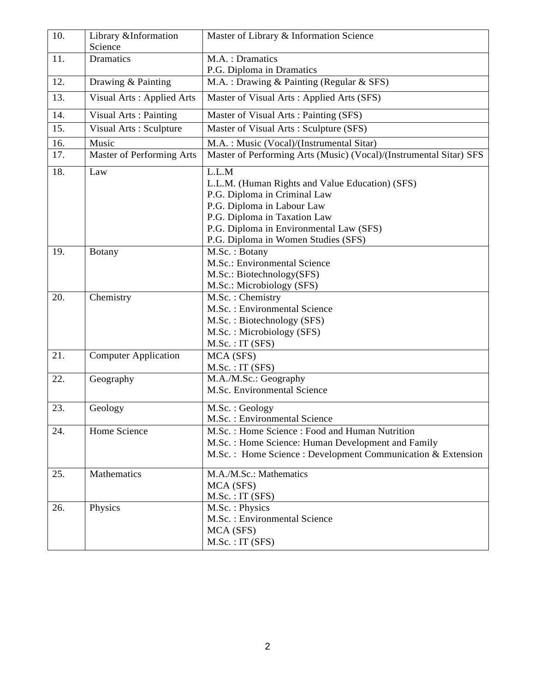| 10. | Library &Information<br>Science | Master of Library & Information Science                                                                                                                                                                                                  |
|-----|---------------------------------|------------------------------------------------------------------------------------------------------------------------------------------------------------------------------------------------------------------------------------------|
| 11. | Dramatics                       | M.A.: Dramatics                                                                                                                                                                                                                          |
|     |                                 | P.G. Diploma in Dramatics                                                                                                                                                                                                                |
| 12. | Drawing & Painting              | M.A.: Drawing & Painting (Regular & SFS)                                                                                                                                                                                                 |
| 13. | Visual Arts: Applied Arts       | Master of Visual Arts: Applied Arts (SFS)                                                                                                                                                                                                |
| 14. | <b>Visual Arts: Painting</b>    | Master of Visual Arts: Painting (SFS)                                                                                                                                                                                                    |
| 15. | Visual Arts: Sculpture          | Master of Visual Arts: Sculpture (SFS)                                                                                                                                                                                                   |
| 16. | Music                           | M.A.: Music (Vocal)/(Instrumental Sitar)                                                                                                                                                                                                 |
| 17. | Master of Performing Arts       | Master of Performing Arts (Music) (Vocal)/(Instrumental Sitar) SFS                                                                                                                                                                       |
| 18. | Law                             | L.L.M<br>L.L.M. (Human Rights and Value Education) (SFS)<br>P.G. Diploma in Criminal Law<br>P.G. Diploma in Labour Law<br>P.G. Diploma in Taxation Law<br>P.G. Diploma in Environmental Law (SFS)<br>P.G. Diploma in Women Studies (SFS) |
| 19. | <b>Botany</b>                   | $\overline{\mathrm{M}}$ .Sc.: Botany<br><b>M.Sc.: Environmental Science</b><br>M.Sc.: Biotechnology(SFS)<br>M.Sc.: Microbiology (SFS)                                                                                                    |
| 20. | Chemistry                       | M.Sc.: Chemistry<br>M.Sc.: Environmental Science<br>M.Sc.: Biotechnology (SFS)<br>M.Sc.: Microbiology (SFS)<br>M.Sc.:IT(SFS)                                                                                                             |
| 21. | <b>Computer Application</b>     | MCA (SFS)<br>M.Sc.:IT(SFS)                                                                                                                                                                                                               |
| 22. | Geography                       | M.A./M.Sc.: Geography<br>M.Sc. Environmental Science                                                                                                                                                                                     |
| 23. | Geology                         | M.Sc.: Geology<br>M.Sc.: Environmental Science                                                                                                                                                                                           |
| 24. | Home Science                    | M.Sc.: Home Science: Food and Human Nutrition<br>M.Sc.: Home Science: Human Development and Family<br>M.Sc.: Home Science: Development Communication & Extension                                                                         |
| 25. | Mathematics                     | M.A./M.Sc.: Mathematics<br>MCA (SFS)<br>M.Sc.:IT(SFS)                                                                                                                                                                                    |
| 26. | Physics                         | M.Sc.: Physics<br>M.Sc.: Environmental Science<br>MCA (SFS)<br>M.Sc.:IT(SFS)                                                                                                                                                             |